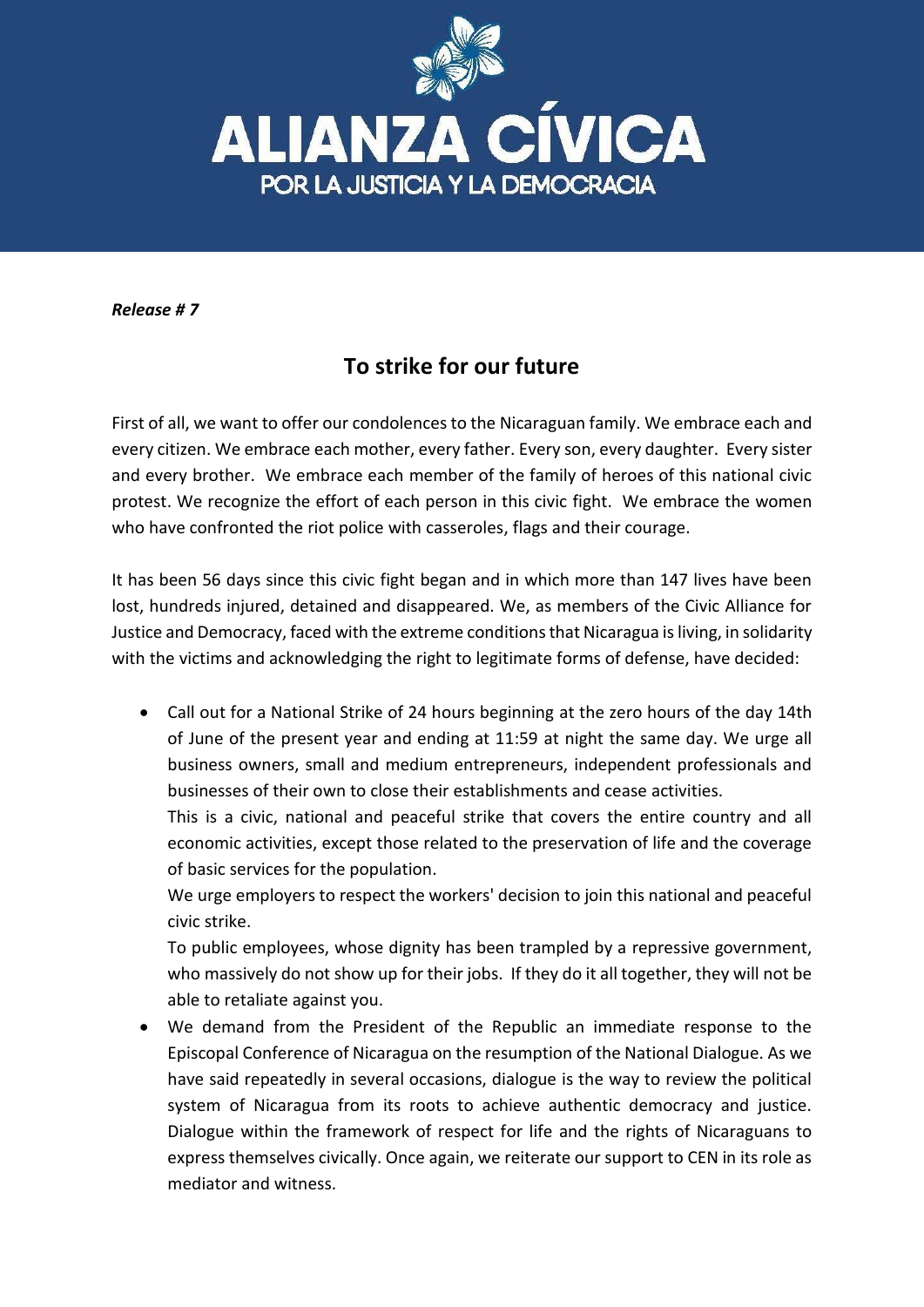

*Release # 7*

## **To strike for our future**

First of all, we want to offer our condolences to the Nicaraguan family. We embrace each and every citizen. We embrace each mother, every father. Every son, every daughter. Every sister and every brother. We embrace each member of the family of heroes of this national civic protest. We recognize the effort of each person in this civic fight. We embrace the women who have confronted the riot police with casseroles, flags and their courage.

It has been 56 days since this civic fight began and in which more than 147 lives have been lost, hundreds injured, detained and disappeared. We, as members of the Civic Alliance for Justice and Democracy, faced with the extreme conditions that Nicaragua is living, in solidarity with the victims and acknowledging the right to legitimate forms of defense, have decided:

 Call out for a National Strike of 24 hours beginning at the zero hours of the day 14th of June of the present year and ending at 11:59 at night the same day. We urge all business owners, small and medium entrepreneurs, independent professionals and businesses of their own to close their establishments and cease activities.

This is a civic, national and peaceful strike that covers the entire country and all economic activities, except those related to the preservation of life and the coverage of basic services for the population.

We urge employers to respect the workers' decision to join this national and peaceful civic strike.

To public employees, whose dignity has been trampled by a repressive government, who massively do not show up for their jobs. If they do it all together, they will not be able to retaliate against you.

 We demand from the President of the Republic an immediate response to the Episcopal Conference of Nicaragua on the resumption of the National Dialogue. As we have said repeatedly in several occasions, dialogue is the way to review the political system of Nicaragua from its roots to achieve authentic democracy and justice. Dialogue within the framework of respect for life and the rights of Nicaraguans to express themselves civically. Once again, we reiterate our support to CEN in its role as mediator and witness.